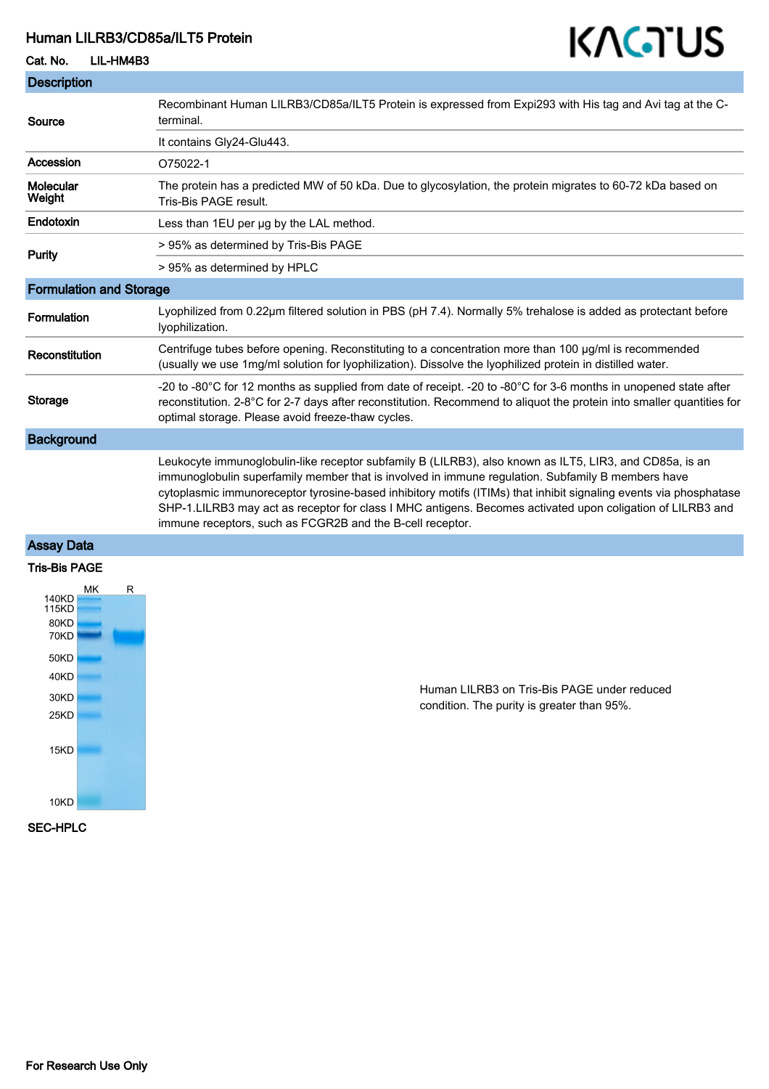## Human LILRB3/CD85a/ILT5 Protein

Cat. No. LIL-HM4B3

## **Description** Source Recombinant Human LILRB3/CD85a/ILT5 Protein is expressed from Expi293 with His tag and Avi tag at the Cterminal. It contains Gly24-Glu443. Accession 075022-1 **Molecular** Weight The protein has a predicted MW of 50 kDa. Due to glycosylation, the protein migrates to 60-72 kDa based on Tris-Bis PAGE result. Endotoxin Less than 1EU per µg by the LAL method. Purity > 95% as determined by Tris-Bis PAGE > 95% as determined by HPLC Formulation and Storage Formulation Lyophilized from 0.22μm filtered solution in PBS (pH 7.4). Normally 5% trehalose is added as protectant before lyophilization. Reconstitution Centrifuge tubes before opening. Reconstituting to a concentration more than 100 μg/ml is recommended (usually we use 1mg/ml solution for lyophilization). Dissolve the lyophilized protein in distilled water. Storage -20 to -80°C for 12 months as supplied from date of receipt. -20 to -80°C for 3-6 months in unopened state after reconstitution. 2-8°C for 2-7 days after reconstitution. Recommend to aliquot the protein into smaller quantities for optimal storage. Please avoid freeze-thaw cycles. **Background** Leukocyte immunoglobulin-like receptor subfamily B (LILRB3), also known as ILT5, LIR3, and CD85a, is an immunoglobulin superfamily member that is involved in immune regulation. Subfamily B members have cytoplasmic immunoreceptor tyrosine-based inhibitory motifs (ITIMs) that inhibit signaling events via phosphatase SHP-1.LILRB3 may act as receptor for class I MHC antigens. Becomes activated upon coligation of LILRB3 and immune receptors, such as FCGR2B and the B-cell receptor.

## Assay Data



Human LILRB3 on Tris-Bis PAGE under reduced condition. The purity is greater than 95%.

KAGTUS

#### SEC-HPLC